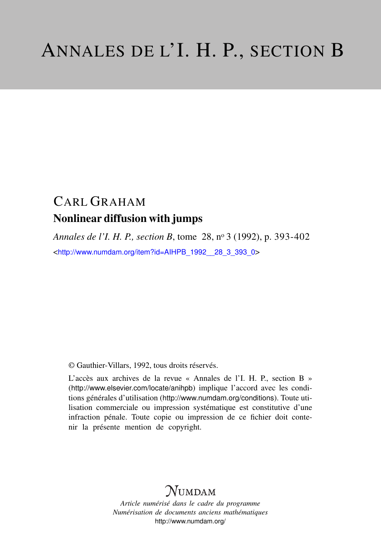# CARL GRAHAM Nonlinear diffusion with jumps

*Annales de l'I. H. P., section B*, tome 28, n<sup>o</sup> 3 (1992), p. 393-402 <[http://www.numdam.org/item?id=AIHPB\\_1992\\_\\_28\\_3\\_393\\_0](http://www.numdam.org/item?id=AIHPB_1992__28_3_393_0)>

© Gauthier-Villars, 1992, tous droits réservés.

L'accès aux archives de la revue « Annales de l'I. H. P., section B » (<http://www.elsevier.com/locate/anihpb>) implique l'accord avec les conditions générales d'utilisation (<http://www.numdam.org/conditions>). Toute utilisation commerciale ou impression systématique est constitutive d'une infraction pénale. Toute copie ou impression de ce fichier doit contenir la présente mention de copyright.

## **NUMDAM**

*Article numérisé dans le cadre du programme Numérisation de documents anciens mathématiques* <http://www.numdam.org/>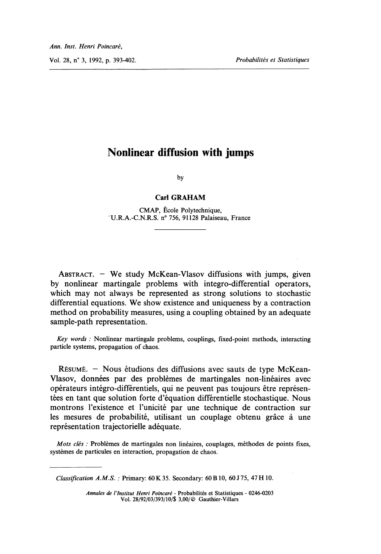Vol. 28, n° 3, 1992, p. 393-402. Probabilités et Statistiques

### Nonlinear diffusion with jumps

by

#### Carl GRAHAM

CMAP, École Polytechnique, 'U.R.A.-C.N.R.S. n° 756, 91128 Palaiseau, France

ABSTRACT.  $-$  We study McKean-Vlasov diffusions with jumps, given by nonlinear martingale problems with integro-differential operators, which may not always be represented as strong solutions to stochastic differential equations. We show existence and uniqueness by a contraction method on probability measures, using a coupling obtained by an adequate sample-path representation.

Key words : Nonlinear martingale problems, couplings, fixed-point methods, interacting particle systems, propagation of chaos.

RESUME. - Nous étudions des diffusions avec sauts de type McKean-Vlasov, données par des problèmes de martingales non-linéaires avec operateurs intégro-différentiels, qui ne peuvent pas toujours etre représentées en tant que solution forte d'équation différentielle stochastique. Nous montrons l'existence et l'unicité par une technique de contraction sur les mesures de probabilité, utilisant un couplage obtenu grace à une représentation trajectorielle adéquate.

Mots clés : Problèmes de martingales non linéaires, couplages, méthodes de points fixes, systèmes de particules en interaction, propagation de chaos.

Classification A.M.S. : Primary: 60 K 35. Secondary: 60 B 10, 60 J 75, 47 H 10.

Annales de l'Institut Henri Poincaré - Probabilités et Statistiques - 0246-0203 Vol. 28/92/03/393/10/\$ 3,00/© Gauthier-Villars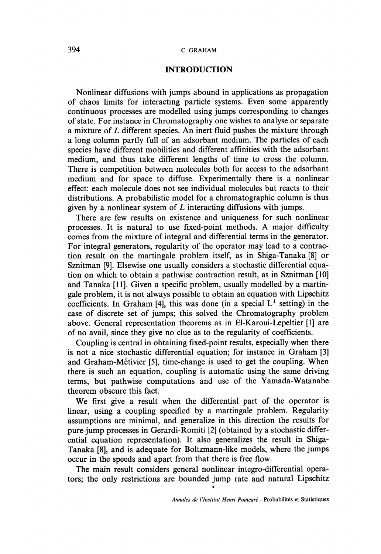#### 394 C. GRAHAM

#### INTRODUCTION

Nonlinear diffusions with jumps abound in applications as propagation of chaos limits for interacting particle systems. Even some apparently continuous processes are modelled using jumps corresponding to changes of state. For instance in Chromatography one wishes to analyse or separate a mixture of  $L$  different species. An inert fluid pushes the mixture through a long column partly full of an adsorbant medium. The particles of each species have different mobilities and different affinities with the adsorbant medium, and thus take different lengths of time to cross the column. There is competition between molecules both for access to the adsorbant medium and for space to diffuse. Experimentally there is a nonlinear effect: each molecule does not see individual molecules but reacts to their distributions. A probabilistic model for a chromatographic column is thus given by a nonlinear system of  $L$  interacting diffusions with jumps.

There are few results on existence and uniqueness for such nonlinear processes. It is natural to use fixed-point methods. A major difficulty comes from the mixture of integral and differential terms in the generator. For integral generators, regularity of the operator may lead to a contraction result on the martingale problem itself, as in Shiga-Tanaka [8] or Sznitman [9]. Elsewise one usually considers a stochastic differential equation on which to obtain a pathwise contraction result, as in Sznitman [10] and Tanaka [11]. Given a specific problem, usually modelled by a martingale problem, it is not always possible to obtain an equation with Lipschitz coefficients. In Graham [4], this was done (in a special  $L<sup>1</sup>$  setting) in the case of discrete set of jumps; this solved the Chromatography problem above. General representation theorems as in El-Karoui-Lepeltier [1] are of no avail, since they give no clue as to the regularity of coefficients.

Coupling is central in obtaining fixed-point results, especially when there is not a nice stochastic differential equation; for instance in Graham [3] and Graham-Metivier [5], time-change is used to get the coupling. When there is such an equation, coupling is automatic using the same driving terms, but pathwise computations and use of the Yamada-Watanabe theorem obscure this fact.

We first give a result when the differential part of the operator is linear, using a coupling specified by a martingale problem. Regularity assumptions are minimal, and generalize in this direction the results for pure-jump processes in Gerardi-Romiti [2] (obtained by a stochastic differential equation representation). It also generalizes the result in Shiga-Tanaka [8], and is adequate for Boltzmann-like models, where the jumps occur in the speeds and apart from that there is free flow.

The main result considers general nonlinear integro-differential operators; the only restrictions are bounded jump rate and natural Lipschitz

.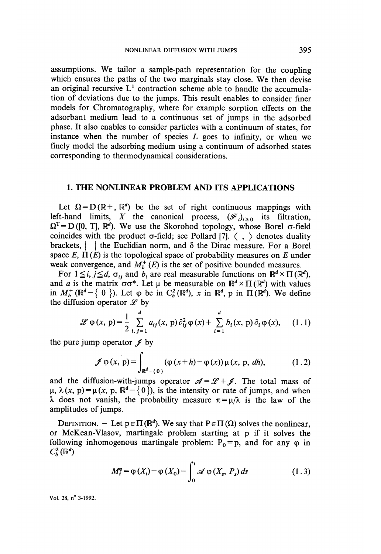assumptions. We tailor a sample-path representation for the coupling which ensures the paths of the two marginals stay close. We then devise an original recursive  $L<sup>1</sup>$  contraction scheme able to handle the accumulation of deviations due to the jumps. This result enables to consider finer models for Chromatography, where for example sorption effects on the adsorbant medium lead to a continuous set of jumps in the adsorbed phase. It also enables to consider particles with a continuum of states, for instance when the number of species  $L$  goes to infinity, or when we finely model the adsorbing medium using a continuum of adsorbed states corresponding to thermodynamical considerations.

#### 1. THE NONLINEAR PROBLEM AND ITS APPLICATIONS

Let  $\Omega = D(\mathbb{R}^+, \mathbb{R}^d)$  be the set of right continuous mappings with left-hand limits, X the canonical process,  $(\mathscr{F}_t)_{t\geq0}$  its filtration,  $D([0, T], \mathbb{R}^d)$ . We use the Skorohod topology, whose Borel  $\sigma$ -field coincides with the product  $\sigma$ -field; see Pollard [7].  $\langle , \rangle$  denotes duality brackets,  $\parallel \cdot \parallel$  the Euclidian norm, and  $\delta$  the Dirac measure. For a Borel space E,  $\Pi(E)$  is the topological space of probability measures on E under weak convergence, and  $M_h^+(E)$  is the set of positive bounded measures.

For  $1 \leq i, j \leq d$ ,  $\sigma_{ii}$  and  $b_i$  are real measurable functions on  $\mathbb{R}^d \times \Pi(\mathbb{R}^d)$ , and a is the matrix  $\sigma\sigma^*$ . Let  $\mu$  be measurable on  $\mathbb{R}^d \times \Pi(\mathbb{R}^d)$  with values in  $M_b^+$  ( $\mathbb{R}^d$  – { 0 }). Let  $\varphi$  be in  $C_b^2(\mathbb{R}^d)$ , x in  $\mathbb{R}^d$ , p in  $\Pi(\mathbb{R}^d)$ . We define the diffusion operator  $\mathscr L$  by

$$
\mathscr{L}\varphi(x,\,p) = \frac{1}{2}\sum_{i,\,j=1}^{d} a_{ij}(x,\,p)\,\partial_{ij}^2\varphi(x) + \sum_{i=1}^{d} b_i(x,\,p)\,\partial_i\varphi(x),\qquad (1.1)
$$

the pure jump operator  $\mathscr{J}$  by

$$
\mathscr{J}\varphi(x,\,p) = \int_{\mathbb{R}^d - \{\,0\,\}} (\varphi\,(x+h) - \varphi\,(x))\,\mu\,(x,\,p,\,dh),\tag{1.2}
$$

and the diffusion-with-jumps operator  $\mathcal{A} = \mathcal{L} + \mathcal{I}$ . The total mass of  $\mu$ ,  $\lambda$ (x, p) =  $\mu$ (x, p,  $\mathbb{R}^d$  - {0}), is the intensity or rate of jumps, and when  $\lambda$  does not vanish, the probability measure  $\pi = \mu/\lambda$  is the law of the amplitudes of jumps.

DEFINITION. - Let  $p \in \Pi(\mathbb{R}^d)$ . We say that  $P \in \Pi(\Omega)$  solves the nonlinear, or McKean-Vlasov, martingale problem starting at p if it solves the following inhomogenous martingale problem:  $P_0 = p$ , and for any  $\varphi$  in  $C_{b}^{2}(\mathbb{R}^{d})$ 

$$
M_t^{\varphi} = \varphi(X_t) - \varphi(X_0) - \int_0^t \mathscr{A} \varphi(X_s, P_s) ds \qquad (1.3)
$$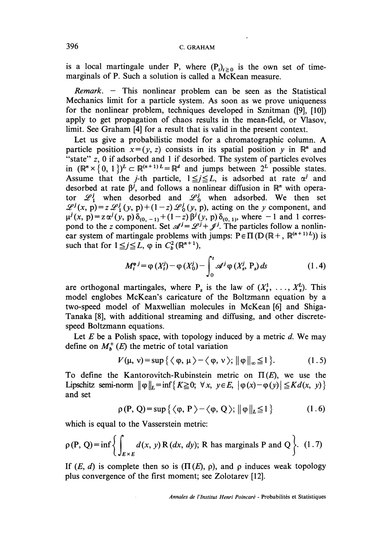is a local martingale under P, where  $(P<sub>t</sub>)<sub>t>0</sub>$  is the own set of timemarginals of P. Such a solution is called a McKean measure.

 $Remark. - This nonlinear problem can be seen as the Statistical$ Mechanics limit for a particle system. As soon as we prove uniqueness for the nonlinear problem, techniques developed in Sznitman ([9], [10]) apply to get propagation of chaos results in the mean-field, or Vlasov, limit. See Graham [4] for a result that is valid in the present context.

Let us give a probabilistic model for a chromatographic column. A particle position  $x = (y, z)$  consists in its spatial position y in  $\mathbb{R}^n$  and "state"  $z$ , 0 if adsorbed and 1 if desorbed. The system of particles evolves in  $(\mathbb{R}^n \times \{0, 1\})^L \subset \mathbb{R}^{(n+1)L} = \mathbb{R}^d$  and jumps between  $2^L$  possible states. Assume that the *j*-th particle,  $1 \le j \le L$ , is adsorbed at rate  $\alpha^{j}$  and desorbed at rate  $\beta^j$ , and follows a nonlinear diffusion in  $\mathbb{R}^n$  with operator  $\mathscr{L}_1^j$  when desorbed and  $\mathscr{L}_0^j$  when adsorbed. We then set  $\mathscr{L}^{j}(x, p) = z \mathscr{L}^{j}(y, p) + (1-z) \mathscr{L}^{j}(y, p)$ , acting on the y component, and  $\mu^{J}(x, p) = z\alpha^{J}(y, p)\delta_{(0, -1)}+(1-z)\beta^{J}(y, p)\delta_{(0, 1)}$ , where -1 and 1 correspond to the z component. Set  $\mathscr{A}^J = \mathscr{L}^J + \mathscr{J}^J$ . The particles follow a nonlinear system of martingale problems with jumps:  $P \in \Pi(D(\mathbb{R}^+, \mathbb{R}^{(n+1)L}))$  is such that for  $1 \leq j \leq L$ ,  $\varphi$  in  $C_b^2 (\mathbb{R}^{n+1})$ ,

$$
M_t^{\varphi} = \varphi(X_t^j) - \varphi(X_0^j) - \int_0^t \mathcal{A}^j \varphi(X_s^j, P_s) ds \qquad (1.4)
$$

are orthogonal martingales, where  $P_s$  is the law of  $(X_s^1, \ldots, X_s^L)$ . This model englobes McKean's caricature of the Boltzmann equation by a two-speed model of Maxwellian molecules in McKean [6] and Shiga-Tanaka [8], with additional streaming and diffusing, and other discretespeed Boltzmann equations.

Let  $E$  be a Polish space, with topology induced by a metric  $d$ . We may define on  $M_h^+(E)$  the metric of total variation

$$
V(\mu, \nu) = \sup \{ \langle \varphi, \mu \rangle - \langle \varphi, \nu \rangle; \|\varphi\|_{\infty} \leq 1 \}.
$$
 (1.5)

To define the Kantorovitch-Rubinstein metric on  $\Pi(E)$ , we use the Lipschitz semi-norm  $\|\phi\|_{L} = \inf\{K \geq 0; \forall x, y \in E, |\phi(x) - \phi(y)| \leq K d(x, y)\}\$ and set

$$
\rho(P, Q) = \sup \{ \langle \varphi, P \rangle - \langle \varphi, Q \rangle; ||\varphi||_{L} \le 1 \}
$$
 (1.6)

which is equal to the Vasserstein metric:

$$
\rho(P, Q) = \inf \left\{ \int_{E \times E} d(x, y) R(dx, dy); R \text{ has marginals } P \text{ and } Q \right\}. (1.7)
$$

If  $(E, d)$  is complete then so is  $(\Pi(E), \rho)$ , and  $\rho$  induces weak topology plus convergence of the first moment; see Zolotarev [12].

. Annales de l'Institut Henri Poincaré - Probabilités et Statistiques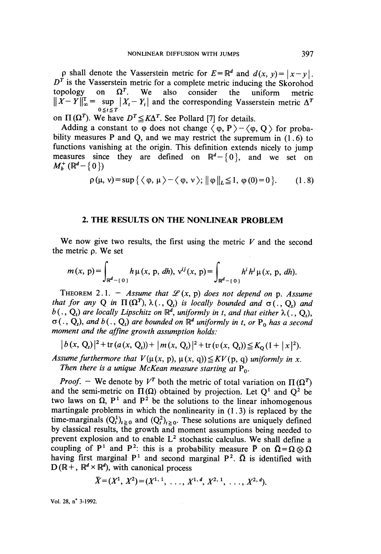p shall denote the Vasserstein metric for  $E = \mathbb{R}^d$  and  $d(x, y) = |x - y|$ .<br>  $D^T$  is the Vasserstein metric for a complete metric inducing the Skorohod topology on  $\Omega^T$ . We also consider the uniform metric topology on  $\Omega^T$ . We also consider the uniform metric  $\sup_{t \in \mathcal{T}} |X_t - Y_t|$  and the corresponding Vasserstein metric  $\Delta^T$ on  $\Pi(\Omega^T)$ . We have  $D^T \leq K\Delta^T$ . See Pollard [7] for details.

Adding a constant to  $\varphi$  does not change  $\langle \varphi, P \rangle - \langle \varphi, Q \rangle$  for probability measures P and Q, and we may restrict the supremum in  $(1.6)$  to functions vanishing at the origin. This definition extends nicely to jump measures since they are defined on  $\mathbb{R}^d$  - {0}, and we set on  $M_h^+(\mathbb{R}^d$  - {0})

$$
\rho(\mu, \nu) = \sup \{ \langle \varphi, \mu \rangle - \langle \varphi, \nu \rangle; \|\varphi\|_{L} \leq 1, \varphi(0) = 0 \}. \qquad (1.8)
$$

#### 2. THE RESULTS ON THE NONLINEAR PROBLEM

We now give two results, the first using the metric  $V$  and the second the metric p. We set

$$
m(x, p) = \int_{\mathbb{R}^d - \{0\}} h \mu(x, p, dh), v^{ij}(x, p) = \int_{\mathbb{R}^d - \{0\}} h^i h^j \mu(x, p, dh).
$$

THEOREM 2.1. - Assume that  $L(x, p)$  does not depend on p. Assume that for any Q in  $\Pi(\Omega^T)$ ,  $\lambda(.)$ ,  $Q_t$ ) is locally bounded and  $\sigma(.)$ ,  $Q_t$ ) and  $b(.)$ ,  $Q_t$ ) are locally Lipschitz on  $\mathbb{R}^d$ , uniformly in t, and that either  $\lambda(.)$ ,  $Q_t$ ),  $\sigma(.)$ ,  $Q_t$ ), and  $b(.)$ ,  $Q_t$ ) are bounded on  $\mathbb{R}^d$  uniformly in t, or P<sub>o</sub> has a second moment and the affine growth assumption holds:

$$
|b(x, Q_t)|^2 + \text{tr}(a(x, Q_t)) + |m(x, Q_t)|^2 + \text{tr}(v(x, Q_t)) \leq K_0 (1 + |x|^2).
$$

Assume furthermore that  $V(\mu(x, p), \mu(x, q)) \leq K V(p, q)$  uniformly in x. Then there is a unique McKean measure starting at  $P_0$ .

*Proof.* - We denote by  $V^T$  both the metric of total variation on  $\Pi(\Omega^T)$ and the semi-metric on  $\Pi(\Omega)$  obtained by projection. Let  $O^1$  and  $O^2$  be two laws on  $\Omega$ ,  $P^1$  and  $P^2$  be the solutions to the linear inhomogenous martingale problems in which the nonlinearity in  $(1.3)$  is replaced by the time-marginals  $(Q_t^1)_{t \ge 0}$  and  $(Q_t^2)_{t \ge 0}$ . These solutions are uniquely defined by classical results, the growth and moment assumptions being needed to prevent explosion and to enable L<sup>2</sup> stochastic calculus. We shall define a coupling of P<sup>1</sup> and P<sup>2</sup>: this is a probability measure P on  $\overline{\Omega} = \Omega \otimes \Omega$ having first marginal  $P^1$  and second marginal  $P^2$ .  $\overline{\Omega}$  is identified with  $D(\mathbb{R}^+, \mathbb{R}^d \times \mathbb{R}^d)$ , with canonical process

$$
\bar{X}=(X^1, X^2)=(X^{1,1}, \ldots, X^{1,d}, X^{2,1}, \ldots, X^{2,d}).
$$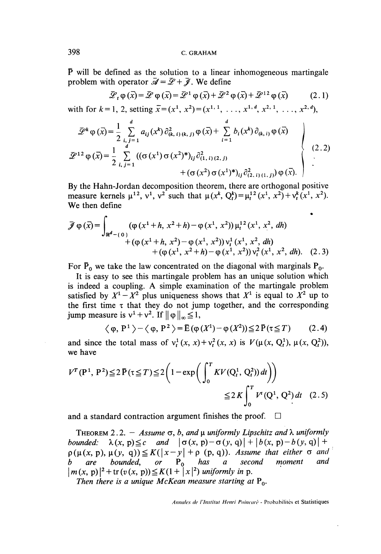$\bar{P}$  will be defined as the solution to a linear inhomogeneous martingale problem with operator  $\vec{A} = \vec{L} + \vec{l}$ . We define

$$
\overline{\mathscr{L}}_t \varphi(\overline{x}) = \overline{\mathscr{L}} \varphi(\overline{x}) = \overline{\mathscr{L}}^1 \varphi(\overline{x}) + \overline{\mathscr{L}}^2 \varphi(\overline{x}) + \overline{\mathscr{L}}^{12} \varphi(\overline{x}) \tag{2.1}
$$

with for  $k = 1, 2$ , setting  $\bar{x} = (x^1, x^2) = (x^{1, 1}, \dots, x^{1, d}, x^{2, 1}, \dots, x^{2, d})$ ,

$$
\mathcal{D}^{k} \varphi(\bar{x}) = \frac{1}{2} \sum_{i,j=1}^{d} a_{ij}(x^{k}) \partial_{(k,i)(k,j)}^{2} \varphi(\bar{x}) + \sum_{i=1}^{d} b_{i}(x^{k}) \partial_{(k,i)} \varphi(\bar{x})
$$
\n
$$
\mathcal{D}^{12} \varphi(\bar{x}) = \frac{1}{2} \sum_{i,j=1}^{d} ((\sigma(x^{1}) \sigma(x^{2})^{*})_{ij} \partial_{(1,i)(2,j)}^{2} + (\sigma(x^{2}) \sigma(x^{1})^{*})_{ij} \partial_{(2,i)(1,j)}^{2}) \varphi(\bar{x}).
$$
\n(2.2)

By the Hahn-Jordan decomposition theorem, there are orthogonal positive measure kernels  $\mu^{12}$ ,  $v^1$ ,  $v^2$  such that  $\mu(x^k, Q^k) = \mu^{12}(x^1, x^2) + v^k(x^1, x^2)$ . We then define

$$
\mathcal{J}\varphi(\bar{x}) = \int_{\mathbb{R}^{d} - \{0\}} (\varphi(x^{1} + h, x^{2} + h) - \varphi(x^{1}, x^{2})) \mu_{t}^{12}(x^{1}, x^{2}, dh) \n+ (\varphi(x^{1} + h, x^{2}) - \varphi(x^{1}, x^{2})) \nu_{t}^{1}(x^{1}, x^{2}, dh) \n+ (\varphi(x^{1}, x^{2} + h) - \varphi(x^{1}, x^{2})) \nu_{t}^{2}(x^{1}, x^{2}, dh).
$$
 (2.3)

For  $\bar{P}_0$  we take the law concentrated on the diagonal with marginals  $P_0$ .

It is easy to see this martingale problem has an unique solution which is indeed a coupling. A simple examination of the martingale problem satisfied by  $X^1 - X^2$  plus uniqueness shows that  $X^1$  is equal to  $X^2$  up to the first time  $\tau$  that they do not jump together, and the corresponding jump measure is  $v^1 + v^2$ . If  $\|\varphi\|_{\infty} \leq 1$ ,

$$
\langle \varphi, P^1 \rangle - \langle \varphi, P^2 \rangle = \bar{E} (\varphi (X^1) - \varphi (X^2)) \leq 2 \bar{P} (\tau \leq T) \qquad (2.4)
$$

and since the total mass of  $v_t^1(x, x) + v_t^2(x, x)$  is  $V(\mu(x, Q_t^1), \mu(x, Q_t^2)),$ we have

$$
V^{T}(\mathbf{P}^{1}, \mathbf{P}^{2}) \leq 2 \bar{\mathbf{P}}(\tau \leq T) \leq 2 \left(1 - \exp\left(\int_{0}^{T} KV(Q_{t}^{1}, Q_{t}^{2})) dt\right)\right)
$$
  

$$
\leq 2 K \int_{0}^{T} V^{t}(Q^{1}, Q^{2}) dt \quad (2.5)
$$

and a standard contraction argument finishes the proof.  $\Box$ 

THEOREM 2.2. - Assume  $\sigma$ , b, and  $\mu$  uniformly Lipschitz and  $\lambda$  uniformly bounded:  $\lambda(x, p) \leq c$  and  $|\sigma(x, p) - \sigma(y, q)| + |b(x, p) - b(y, q)| +$  $p(\mu(x, p), \mu(y, q)) \le K(|x - y| + \rho(p, q))$ . Assume that either  $\sigma$  and b are bounded or  $P_0$  has a second moment and  $b$  are bounded, or  $\mathbf{P}_0$  has a second moment and  $|m(x, p)|^2 + \text{tr}(v(x, p)) \leq K(1 + |x|^2)$  uniformly in p.

Then there is a unique McKean measure starting at  $P_0$ .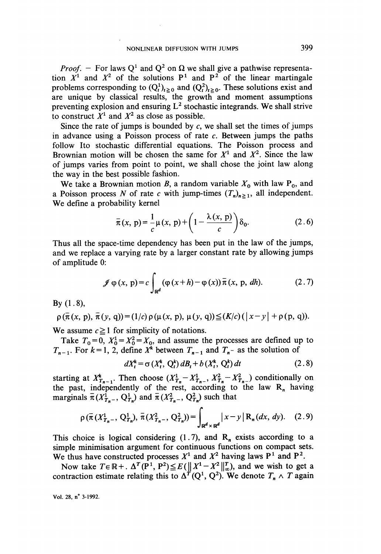*Proof.* - For laws Q<sup>1</sup> and Q<sup>2</sup> on  $\Omega$  we shall give a pathwise representation  $X^1$  and  $X^2$  of the solutions  $P^1$  and  $P^2$  of the linear martingale problems corresponding to  $(Q_t^1)_{t \ge 0}$  and  $(Q_t^2)_{t \ge 0}$ . These solutions exist and are unique by classical results, the growth and moment assumptions preventing explosion and ensuring  $L^2$  stochastic integrands. We shall strive to construct  $X<sup>1</sup>$  and  $X<sup>2</sup>$  as close as possible.

Since the rate of jumps is bounded by  $c$ , we shall set the times of jumps in advance using a Poisson process of rate  $c$ . Between jumps the paths follow Ito stochastic differential equations. The Poisson process and Brownian motion will be chosen the same for  $X<sup>1</sup>$  and  $X<sup>2</sup>$ . Since the law of jumps varies from point to point, we shall chose the joint law along the way in the best possible fashion.

We take a Brownian motion B, a random variable  $X_0$  with law  $P_0$ , and a Poisson process N of rate c with jump-times  $(T_n)_{n\geq 1}$ , all independent. We define a probability kernel

$$
\bar{\pi}(x, p) = \frac{1}{c} \mu(x, p) + \left(1 - \frac{\lambda(x, p)}{c}\right) \delta_0.
$$
 (2.6)

Thus all the space-time dependency has been put in the law of the jumps, and we replace a varying rate by a larger constant rate by allowing jumps of amplitude 0:

$$
\mathscr{J}\varphi(x,\,p)=c\int_{\mathbb{R}^d}(\varphi(x+h)-\varphi(x))\,\overline{\pi}\,(x,\,p,\,dh). \tag{2.7}
$$

By  $(1.8)$ ,

$$
\rho(\bar{\pi}(x, p), \bar{\pi}(y, q)) = (1/c) \rho(\mu(x, p), \mu(y, q)) \leq (K/c) (|x - y| + \rho(p, q)).
$$

We assume  $c \ge 1$  for simplicity of notations.

Take  $T_0=0$ ,  $X_0^1=X_0^2=X_0$ , and assume the processes are defined up to  $T_{n-1}$ . For  $k = 1, 2$ , define  $X^k$  between  $T_{n-1}$  and  $T_n$ - as the solution of

$$
dX_t^k = \sigma(X_t^k, Q_t^k) dB_t + b(X_t^k, Q_t^k) dt
$$
 (2.8)

starting at  $X_{T_{n-1}}^*$ . Then choose  $(X_{T_n}^1 - X_{T_n}^1, X_{T_n}^2 - X_{T_{n-1}}^2)$  conditionally on the past, independently of the rest, according to the law  $R_n$  having marginals  $\bar{\pi}(X_{T_n}^1, Q_{T_n}^1)$  and  $\bar{\pi}(X_{T_n}^2, Q_{T_n}^2)$  such that

$$
\rho\left(\bar{\pi}\left(X_{T_n}^1,\,Q_{T_n}^1\right),\,\bar{\pi}\left(X_{T_n}^2,\,Q_{T_n}^2\right)\right)=\int_{\mathbb{R}^d\times\mathbb{R}^d} \left|x-y\right|\mathcal{R}_n(dx,\,dy). \quad (2.9)
$$

This choice is logical considering (1.7), and  $R_n$  exists according to a simple minimisation argument for continuous functions on compact sets. We thus have constructed processes  $X^1$  and  $X^2$  having laws  $P^1$  and  $P^2$ .

Now take  $T \in \mathbb{R}^+$ .  $\Delta^T(\mathbb{P}^1, \mathbb{P}^2) \leq E(||X^1 - X^2||_{\infty}^T)$ , and we wish to get a contraction estimate relating this to  $\Delta^T(Q^1, Q^2)$ . We denote  $T_n \wedge T$  again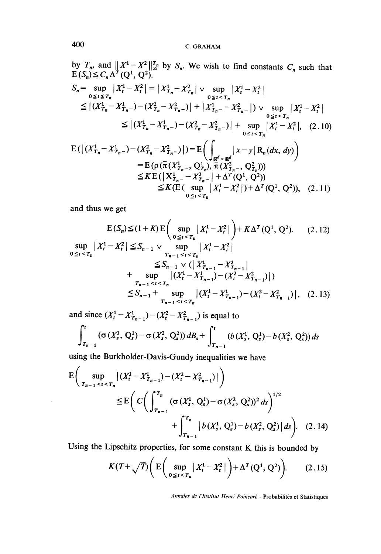by 
$$
T_n
$$
, and  $||X^1 - X^2||_{\infty}^T$  by  $S_n$ . We wish to find constants  $C_n$  such that  
\n
$$
E(S_n) \leq C_n \Delta^T (Q^1, Q^2).
$$
\n
$$
S_n = \sup_{0 \leq t \leq T_n} |X_t^1 - X_t^2| = |X_{T_n}^1 - X_{T_n}^2| \vee \sup_{0 \leq t < T_n} |X_t^1 - X_t^2|
$$
\n
$$
\leq |(X_{T_n}^1 - X_{T_n-}^1) - (X_{T_n}^2 - X_{T_n-}^2)| + |X_{T_n-}^1 - X_{T_n-}^2| \vee \sup_{0 \leq t < T_n} |X_t^1 - X_t^2|
$$
\n
$$
\leq |(X_{T_n}^1 - X_{T_n-}^1) - (X_{T_n}^2 - X_{T_n-}^2)| + \sup_{0 \leq t < T_n} |X_t^1 - X_t^2|, \quad (2.10)
$$
\n
$$
E(|(X_{T_n}^1 - X_{T_n-}^1) - (X_{T_n}^2 - X_{T_n-}^2)|) = E\left(\int_{\mathbb{R}^d \times \mathbb{R}^d} |x - y| R_n(dx, dy)\right)
$$
\n
$$
= E(\rho(\bar{\pi}(X_{T_n-}^1, Q_{T_n}^1), \bar{\pi}(X_{T_n-}^2, Q_{T_n}^2)))
$$
\n
$$
\leq KE(|X_{T_n-}^1 - X_{T_n-}^2| + \Delta^T (Q^1, Q^2))
$$
\n
$$
\leq K(E(\sup |X_t^1 - X_t^2|) + \Delta^T (Q^1, Q^2)), \quad (2.11)
$$

and thus we get

$$
E(S_n) \leq (1+K) E\left(\sup_{0 \leq t \leq T_n} |X_t^1 - X_t^2| \right) + K\Delta^T (Q^1, Q^2).
$$
 (2.12)  
\n
$$
\sup_{0 \leq t \leq T_n} |X_t^1 - X_t^2| \leq S_{n-1} \vee \sup_{T_{n-1} \leq t \leq T_n} |X_t^1 - X_t^2|
$$
  
\n
$$
\leq S_{n-1} \vee (|X_{T_{n-1}}^1 - X_{T_{n-1}}^2| + \sup_{T_{n-1} \leq t \leq T_n} |(X_t^1 - X_{T_{n-1}}^1) - (X_t^2 - X_{T_{n-1}}^2)|)
$$
  
\n
$$
\leq S_{n-1} + \sup_{T_{n-1} \leq t \leq T_n} |(X_t^1 - X_{T_{n-1}}^1) - (X_t^2 - X_{T_{n-1}}^2)|, \quad (2.13)
$$

and since  $(X_t^1 - X_{T_{n-1}}^1) - (X_t^2 - X_{T_{n-1}}^2)$  is equal to

$$
\int_{T_{n-1}}^t (\sigma(X_s^1, Q_s^1) - \sigma(X_s^2, Q_s^2)) dB_s + \int_{T_{n-1}}^t (b(X_s^1, Q_s^1) - b(X_s^2, Q_s^2)) ds
$$

using the Burkholder-Davis-Gundy inequalities we have

 $\overline{a}$ 

$$
E\left(\sup_{T_{n-1} < t < T_n} |(X_t^1 - X_{T_{n-1}}^1) - (X_t^2 - X_{T_{n-1}}^2)|\right) \\
\leq E\left(C\left(\int_{T_{n-1}}^{T_n} (\sigma(X_s^1, Q_s^1) - \sigma(X_s^2, Q_s^2))^2 ds\right)^{1/2} + \int_{T_{n-1}}^{T_n} |b(X_s^1, Q_s^1) - b(X_s^2, Q_s^2)| ds\right). \tag{2.14}
$$

Using the Lipschitz properties, for some constant K this is bounded by

$$
K(T+\sqrt{T})\bigg(E\bigg(\sup_{0\leq t\leq T_n}|X_t^1-X_t^2|\bigg)+\Delta^T(Q^1,Q^2)\bigg). \qquad(2.15)
$$

Annales de l'Institut Henri Poincaré - Probabilités et Statistiques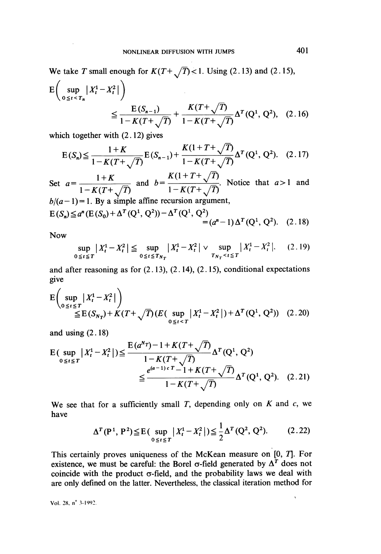We take T small enough for  $K(T+\sqrt{T}) < 1$ . Using (2.13) and (2.15),

$$
E\left(\sup_{0\leq t\leq T_n}|X_t^1 - X_t^2|\right)
$$
  
 
$$
\leq \frac{E(S_{n-1})}{1 - K(T + \sqrt{T})} + \frac{K(T + \sqrt{T})}{1 - K(T + \sqrt{T})} \Delta^T(Q^1, Q^2), \quad (2.16)
$$

which together with (2.12) gives

$$
E(S_n) \leq \frac{1+K}{1-K(T+\sqrt{T})} E(S_{n-1}) + \frac{K(1+T+\sqrt{T})}{1-K(T+\sqrt{T})} \Delta^T (Q^1, Q^2). \quad (2.17)
$$

Set  $a = \frac{1+K}{1-K(T+\sqrt{T})}$  and  $b = \frac{K(1+T+\sqrt{T})}{1-K(T+\sqrt{T})}$ . Notice that  $a > 1$  and  $b/(a-1) = 1$ . By a simple affine recursion argument,

$$
E(S_n) \le a^n (E(S_0) + \Delta^T (Q^1, Q^2)) - \Delta^T (Q^1, Q^2) = (a^n - 1) \Delta^T (Q^1, Q^2).
$$
 (2.18)

Now

$$
\sup_{0 \le t \le T} |X_t^1 - X_t^2| \le \sup_{0 \le t \le T_{N_T}} |X_t^1 - X_t^2| \vee \sup_{T_{N_T} < t \le T} |X_t^1 - X_t^2|. \tag{2.19}
$$

and after reasoning as for  $(2.13)$ ,  $(2.14)$ ,  $(2.15)$ , conditional expectations give

$$
\mathbf{E}\left(\sup_{0\leq t\leq T}|X_{t}^{1}-X_{t}^{2}|\right) \leq \mathbf{E}(S_{N_{T}})+K(T+\sqrt{T})(E(\sup_{0\leq t\leq T}|X_{t}^{1}-X_{t}^{2}|)+\Delta^{T}(Q^{1}, Q^{2})) \quad (2.20)
$$

and using  $(2.18)$ 

$$
E\left(\sup_{0 \le t \le T} |X_t^1 - X_t^2| \right) \le \frac{E(a^{N_T}) - 1 + K(T + \sqrt{T})}{1 - K(T + \sqrt{T})} \Delta^T(Q^1, Q^2)
$$
  
 
$$
\le \frac{e^{(a-1)cT} - 1 + K(T + \sqrt{T})}{1 - K(T + \sqrt{T})} \Delta^T(Q^1, Q^2). \quad (2.21)
$$

We see that for a sufficiently small  $T$ , depending only on  $K$  and  $c$ , we have

$$
\Delta^{T}(\mathbf{P}^{1}, \mathbf{P}^{2}) \leq \mathbf{E}(\sup_{0 \leq t \leq T} |X_{t}^{1} - X_{t}^{2}|) \leq \frac{1}{2} \Delta^{T}(\mathbf{Q}^{2}, \mathbf{Q}^{2}).
$$
 (2.22)

This certainly proves uniqueness of the McKean measure on [0, 7]. For existence, we must be careful: the Borel  $\sigma$ -field generated by  $\Delta^T$  does not coincide with the product  $\sigma$ -field, and the probability laws we deal with are only defined on the latter. Nevertheless, the classical iteration method for